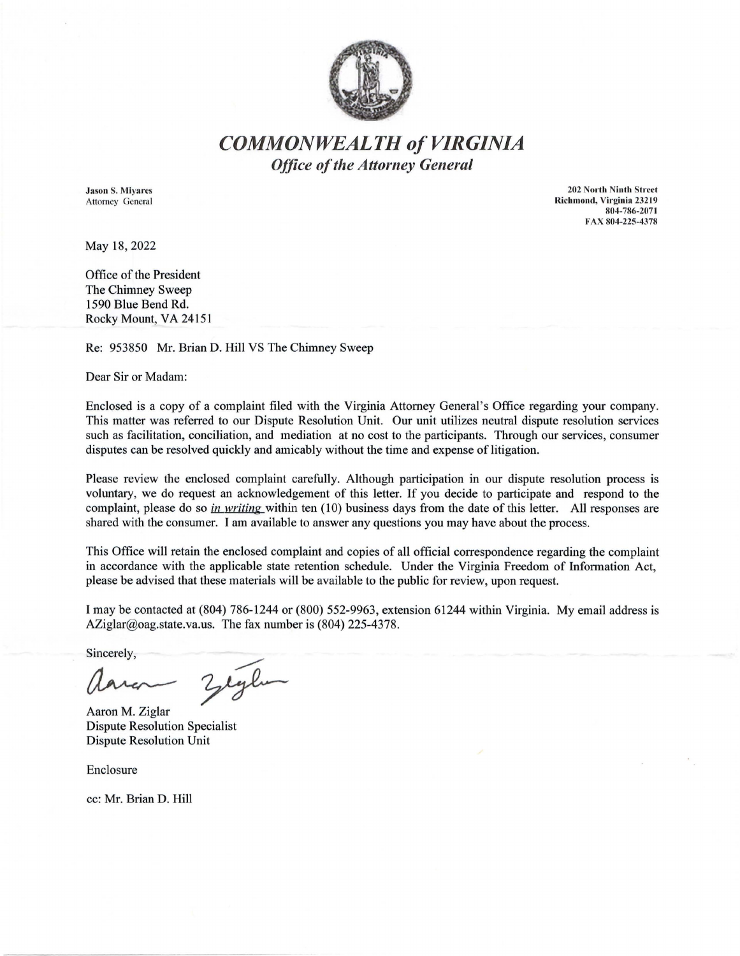

## *COMMONWEALTH of VIRGINIA Office of the Attorney General*

Jason S. Miyares Attorney General

202 North Ninth Street Richmond, Virginia 232 19 804-786-2071 FAX 804-225-4378

May 18, 2022

Office of the President The Chimney Sweep 1590 Blue Bend Rd. Rocky Mount, VA 24151

Re: 953850 Mr. Brian D. Hill VS The Chimney Sweep

Dear Sir or Madam:

Enclosed is a copy of a complaint filed with the Virginia Attorney General's Office regarding your company. This matter was referred to our Dispute Resolution Unit. Our unit utilizes neutral dispute resolution services such as facilitation, conciliation, and mediation at no cost to the participants. Through our services, consumer disputes can be resolved quickly and amicably without the time and expense of litigation.

Please review the enclosed complaint carefully. Although participation in our dispute resolution process is voluntary, we do request an acknowledgement of this letter. If you decide to participate and respond to the complaint, please do so *in writing* within ten (10) business days from the date of this letter. All responses are shared with the consumer. I am available to answer any questions you may have about the process.

This Office will retain the enclosed complaint and copies of all official correspondence regarding the complaint in accordance with the applicable state retention schedule. Under the Virginia Freedom of Information Act, please be advised that these materials will be available to the public for review, upon request.

I may be contacted at (804) 786-1244 or (800) 552-9963, extension 61244 within Virginia. My email address is AZiglar@oag.state.va.us. The fax number is (804) 225-4378.

Sincerely,

Zeglun

Aaron M. Ziglar Dispute Resolution Specialist Dispute Resolution Unit

Enclosure

cc: Mr. Brian D. Hill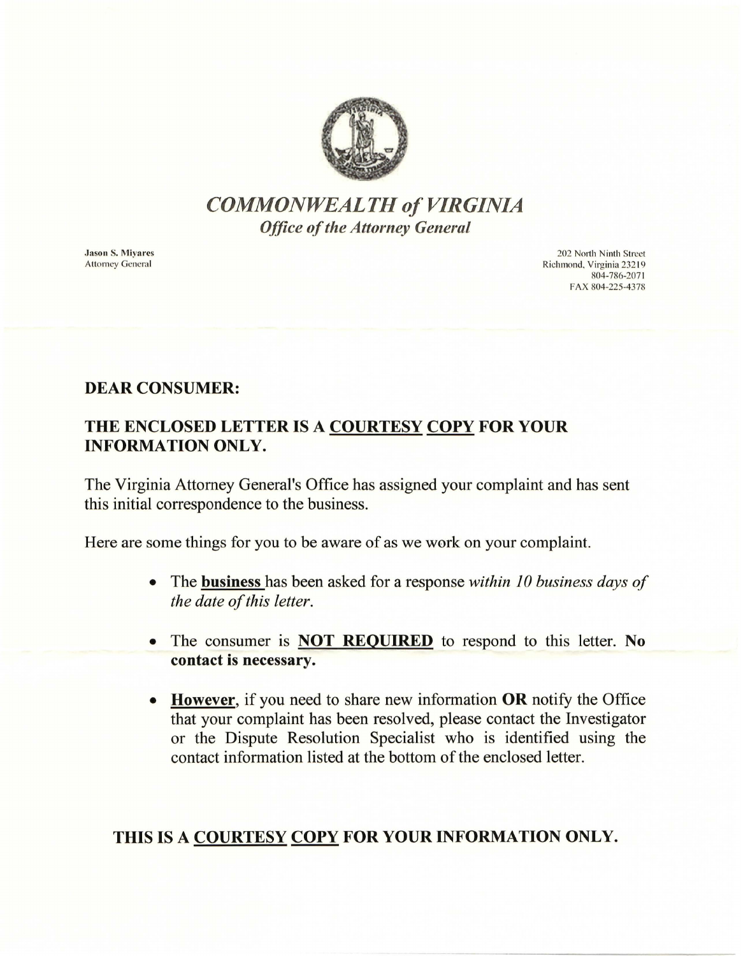

# *COMMONWEALTH of VIRGINIA Office of the Attorney General*

**Jason S. Mivares Attorney General** 

202 North Ninth Street Richmond. Virginia 232 19 804-786-2071 FAX 804-225-4378

#### DEAR CONSUMER:

#### THE ENCLOSED LETTER IS A COURTESY COPY FOR YOUR INFORMATION ONLY.

The Virginia Attorney General's Office has assigned your complaint and has sent this initial correspondence to the business.

Here are some things for you to be aware of as we work on your complaint.

- The business has been asked for a response *within 10 business days of the date of this letter.*
- The consumer is **NOT REQUIRED** to respond to this letter. No contact is necessary.
- **However,** if you need to share new information **OR** notify the Office that your complaint has been resolved, please contact the Investigator or the Dispute Resolution Specialist who is identified using the contact information listed at the bottom of the enclosed letter.

## THIS IS A COURTESY COPY FOR YOUR INFORMATION ONLY.